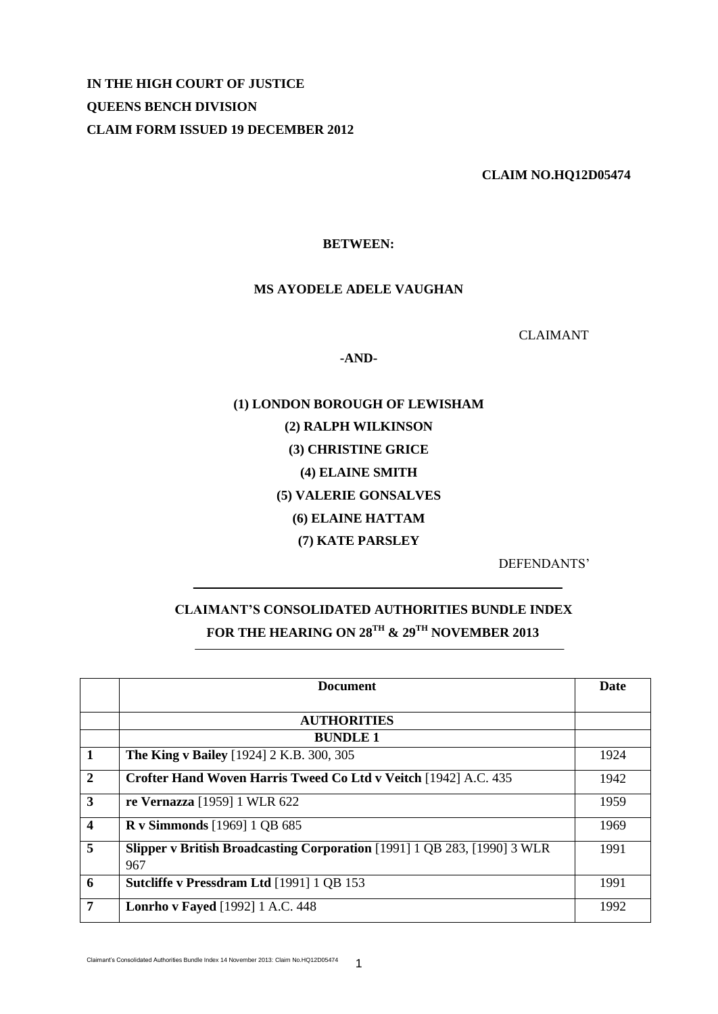**IN THE HIGH COURT OF JUSTICE QUEENS BENCH DIVISION CLAIM FORM ISSUED 19 DECEMBER 2012**

 **CLAIM NO.HQ12D05474** 

## **BETWEEN:**

## **MS AYODELE ADELE VAUGHAN**

CLAIMANT

**-AND-**

**(1) LONDON BOROUGH OF LEWISHAM (2) RALPH WILKINSON (3) CHRISTINE GRICE (4) ELAINE SMITH (5) VALERIE GONSALVES (6) ELAINE HATTAM (7) KATE PARSLEY**

DEFENDANTS'

## **CLAIMANT'S CONSOLIDATED AUTHORITIES BUNDLE INDEX FOR THE HEARING ON 28TH & 29TH NOVEMBER 2013**

|                         | <b>Document</b>                                                                        | Date |
|-------------------------|----------------------------------------------------------------------------------------|------|
|                         |                                                                                        |      |
|                         | <b>AUTHORITIES</b>                                                                     |      |
|                         | <b>BUNDLE 1</b>                                                                        |      |
| $\vert$ 1               | <b>The King v Bailey</b> [1924] 2 K.B. 300, 305                                        | 1924 |
| $\overline{2}$          | Crofter Hand Woven Harris Tweed Co Ltd v Veitch [1942] A.C. 435                        | 1942 |
| $\overline{\mathbf{3}}$ | re Vernazza [1959] 1 WLR 622                                                           | 1959 |
| $\overline{\mathbf{4}}$ | <b>R</b> v Simmonds [1969] 1 QB 685                                                    | 1969 |
| 5                       | <b>Slipper v British Broadcasting Corporation</b> [1991] 1 QB 283, [1990] 3 WLR<br>967 | 1991 |
| 6                       | Sutcliffe v Pressdram Ltd [1991] 1 QB 153                                              | 1991 |
| 7                       | <b>Lonrho v Fayed</b> [1992] 1 A.C. 448                                                | 1992 |